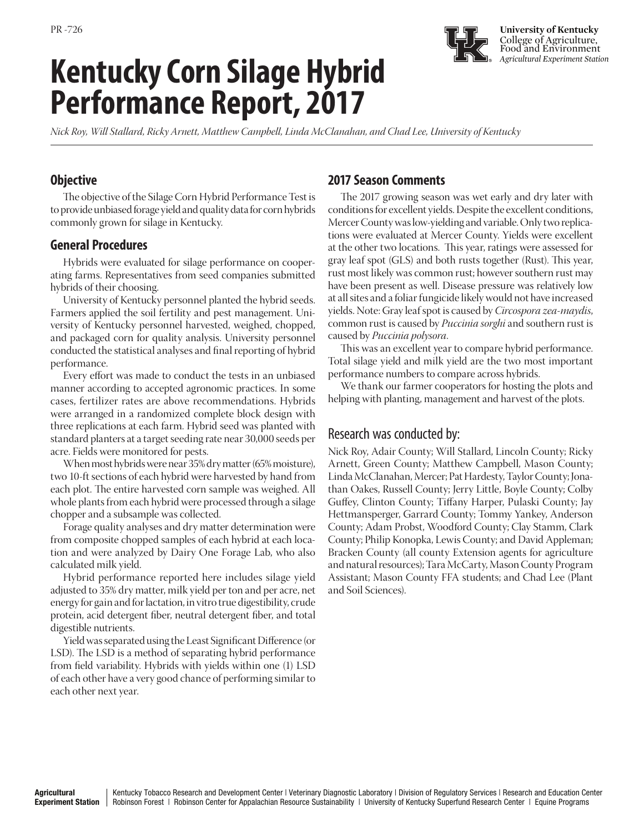# **Kentucky Corn Silage Hybrid Performance Report, 2017**

**University of Kentucky** College of Agriculture, Food and Environment *Agricultural Experiment Station*

*Nick Roy, Will Stallard, Ricky Arnett, Matthew Campbell, Linda McClanahan, and Chad Lee, University of Kentucky*

## **Objective**

The objective of the Silage Corn Hybrid Performance Test is to provide unbiased forage yield and quality data for corn hybrids commonly grown for silage in Kentucky.

### **General Procedures**

Hybrids were evaluated for silage performance on cooperating farms. Representatives from seed companies submitted hybrids of their choosing.

University of Kentucky personnel planted the hybrid seeds. Farmers applied the soil fertility and pest management. University of Kentucky personnel harvested, weighed, chopped, and packaged corn for quality analysis. University personnel conducted the statistical analyses and final reporting of hybrid performance.

Every effort was made to conduct the tests in an unbiased manner according to accepted agronomic practices. In some cases, fertilizer rates are above recommendations. Hybrids were arranged in a randomized complete block design with three replications at each farm. Hybrid seed was planted with standard planters at a target seeding rate near 30,000 seeds per acre. Fields were monitored for pests.

When most hybrids were near 35% dry matter (65% moisture), two 10-ft sections of each hybrid were harvested by hand from each plot. The entire harvested corn sample was weighed. All whole plants from each hybrid were processed through a silage chopper and a subsample was collected.

Forage quality analyses and dry matter determination were from composite chopped samples of each hybrid at each location and were analyzed by Dairy One Forage Lab, who also calculated milk yield.

Hybrid performance reported here includes silage yield adjusted to 35% dry matter, milk yield per ton and per acre, net energy for gain and for lactation, in vitro true digestibility, crude protein, acid detergent fiber, neutral detergent fiber, and total digestible nutrients.

Yield was separated using the Least Significant Difference (or LSD). The LSD is a method of separating hybrid performance from field variability. Hybrids with yields within one (1) LSD of each other have a very good chance of performing similar to each other next year.

# **2017 Season Comments**

The 2017 growing season was wet early and dry later with conditions for excellent yields. Despite the excellent conditions, Mercer County was low-yielding and variable. Only two replications were evaluated at Mercer County. Yields were excellent at the other two locations. This year, ratings were assessed for gray leaf spot (GLS) and both rusts together (Rust). This year, rust most likely was common rust; however southern rust may have been present as well. Disease pressure was relatively low at all sites and a foliar fungicide likely would not have increased yields. Note: Gray leaf spot is caused by *Circospora zea-maydis*, common rust is caused by *Puccinia sorghi* and southern rust is caused by *Puccinia polysora*.

This was an excellent year to compare hybrid performance. Total silage yield and milk yield are the two most important performance numbers to compare across hybrids.

We thank our farmer cooperators for hosting the plots and helping with planting, management and harvest of the plots.

# Research was conducted by:

Nick Roy, Adair County; Will Stallard, Lincoln County; Ricky Arnett, Green County; Matthew Campbell, Mason County; Linda McClanahan, Mercer; Pat Hardesty, Taylor County; Jonathan Oakes, Russell County; Jerry Little, Boyle County; Colby Guffey, Clinton County; Tiffany Harper, Pulaski County; Jay Hettmansperger, Garrard County; Tommy Yankey, Anderson County; Adam Probst, Woodford County; Clay Stamm, Clark County; Philip Konopka, Lewis County; and David Appleman; Bracken County (all county Extension agents for agriculture and natural resources); Tara McCarty, Mason County Program Assistant; Mason County FFA students; and Chad Lee (Plant and Soil Sciences).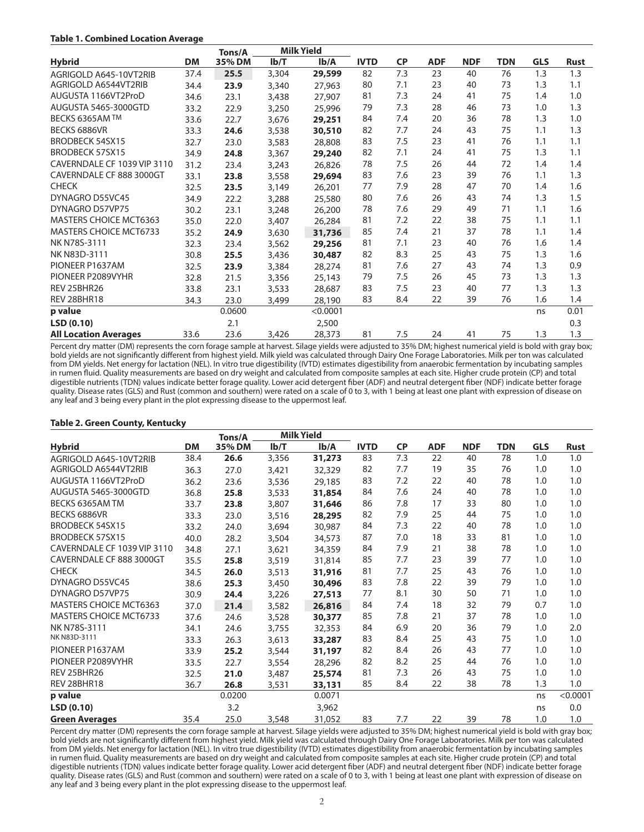#### **Table 1. Combined Location Average**

|                               |           | Tons/A |       | <b>Milk Yield</b> |             |           |            |            |            |            |             |
|-------------------------------|-----------|--------|-------|-------------------|-------------|-----------|------------|------------|------------|------------|-------------|
| <b>Hybrid</b>                 | <b>DM</b> | 35% DM | Ib/T  | Ib/A              | <b>IVTD</b> | <b>CP</b> | <b>ADF</b> | <b>NDF</b> | <b>TDN</b> | <b>GLS</b> | <b>Rust</b> |
| AGRIGOLD A645-10VT2RIB        | 37.4      | 25.5   | 3,304 | 29,599            | 82          | 7.3       | 23         | 40         | 76         | 1.3        | 1.3         |
| AGRIGOLD A6544VT2RIB          | 34.4      | 23.9   | 3,340 | 27,963            | 80          | 7.1       | 23         | 40         | 73         | 1.3        | 1.1         |
| AUGUSTA 1166VT2ProD           | 34.6      | 23.1   | 3,438 | 27,907            | 81          | 7.3       | 24         | 41         | 75         | 1.4        | 1.0         |
| AUGUSTA 5465-3000GTD          | 33.2      | 22.9   | 3,250 | 25,996            | 79          | 7.3       | 28         | 46         | 73         | 1.0        | 1.3         |
| BECKS 6365AM TM               | 33.6      | 22.7   | 3,676 | 29,251            | 84          | 7.4       | 20         | 36         | 78         | 1.3        | 1.0         |
| BECKS 6886VR                  | 33.3      | 24.6   | 3,538 | 30,510            | 82          | 7.7       | 24         | 43         | 75         | 1.1        | 1.3         |
| <b>BRODBECK 54SX15</b>        | 32.7      | 23.0   | 3,583 | 28,808            | 83          | 7.5       | 23         | 41         | 76         | 1.1        | 1.1         |
| BRODBECK 57SX15               | 34.9      | 24.8   | 3,367 | 29,240            | 82          | 7.1       | 24         | 41         | 75         | 1.3        | 1.1         |
| CAVERNDALE CF 1039 VIP 3110   | 31.2      | 23.4   | 3,243 | 26,826            | 78          | 7.5       | 26         | 44         | 72         | 1.4        | 1.4         |
| CAVERNDALE CF 888 3000GT      | 33.1      | 23.8   | 3,558 | 29,694            | 83          | 7.6       | 23         | 39         | 76         | 1.1        | 1.3         |
| <b>CHECK</b>                  | 32.5      | 23.5   | 3,149 | 26,201            | 77          | 7.9       | 28         | 47         | 70         | 1.4        | 1.6         |
| DYNAGRO D55VC45               | 34.9      | 22.2   | 3,288 | 25,580            | 80          | 7.6       | 26         | 43         | 74         | 1.3        | 1.5         |
| DYNAGRO D57VP75               | 30.2      | 23.1   | 3,248 | 26,200            | 78          | 7.6       | 29         | 49         | 71         | 1.1        | 1.6         |
| <b>MASTERS CHOICE MCT6363</b> | 35.0      | 22.0   | 3,407 | 26,284            | 81          | 7.2       | 22         | 38         | 75         | 1.1        | 1.1         |
| <b>MASTERS CHOICE MCT6733</b> | 35.2      | 24.9   | 3,630 | 31,736            | 85          | 7.4       | 21         | 37         | 78         | 1.1        | 1.4         |
| NK N78S-3111                  | 32.3      | 23.4   | 3,562 | 29,256            | 81          | 7.1       | 23         | 40         | 76         | 1.6        | 1.4         |
| NK N83D-3111                  | 30.8      | 25.5   | 3,436 | 30,487            | 82          | 8.3       | 25         | 43         | 75         | 1.3        | 1.6         |
| PIONEER P1637AM               | 32.5      | 23.9   | 3,384 | 28,274            | 81          | 7.6       | 27         | 43         | 74         | 1.3        | 0.9         |
| PIONEER P2089VYHR             | 32.8      | 21.5   | 3,356 | 25,143            | 79          | 7.5       | 26         | 45         | 73         | 1.3        | 1.3         |
| REV 25BHR26                   | 33.8      | 23.1   | 3,533 | 28,687            | 83          | 7.5       | 23         | 40         | 77         | 1.3        | 1.3         |
| REV 28BHR18                   | 34.3      | 23.0   | 3,499 | 28,190            | 83          | 8.4       | 22         | 39         | 76         | 1.6        | 1.4         |
| p value                       |           | 0.0600 |       | < 0.0001          |             |           |            |            |            | ns         | 0.01        |
| LSD (0.10)                    |           | 2.1    |       | 2,500             |             |           |            |            |            |            | 0.3         |
| <b>All Location Averages</b>  | 33.6      | 23.6   | 3,426 | 28,373            | 81          | 7.5       | 24         | 41         | 75         | 1.3        | 1.3         |

Percent dry matter (DM) represents the corn forage sample at harvest. Silage yields were adjusted to 35% DM; highest numerical yield is bold with gray box; bold yields are not significantly different from highest yield. Milk yield was calculated through Dairy One Forage Laboratories. Milk per ton was calculated from DM yields. Net energy for lactation (NEL). In vitro true digestibility (IVTD) estimates digestibility from anaerobic fermentation by incubating samples in rumen fluid. Quality measurements are based on dry weight and calculated from composite samples at each site. Higher crude protein (CP) and total digestible nutrients (TDN) values indicate better forage quality. Lower acid detergent fiber (ADF) and neutral detergent fiber (NDF) indicate better forage quality. Disease rates (GLS) and Rust (common and southern) were rated on a scale of 0 to 3, with 1 being at least one plant with expression of disease on any leaf and 3 being every plant in the plot expressing disease to the uppermost leaf.

#### **Table 2. Green County, Kentucky**

|                               |           | Tons/A |       | <b>Milk Yield</b> |             |           |            |            |            |            |             |
|-------------------------------|-----------|--------|-------|-------------------|-------------|-----------|------------|------------|------------|------------|-------------|
| <b>Hybrid</b>                 | <b>DM</b> | 35% DM | Ib/T  | Ib/A              | <b>IVTD</b> | <b>CP</b> | <b>ADF</b> | <b>NDF</b> | <b>TDN</b> | <b>GLS</b> | <b>Rust</b> |
| AGRIGOLD A645-10VT2RIB        | 38.4      | 26.6   | 3,356 | 31,273            | 83          | 7.3       | 22         | 40         | 78         | 1.0        | 1.0         |
| AGRIGOLD A6544VT2RIB          | 36.3      | 27.0   | 3,421 | 32,329            | 82          | 7.7       | 19         | 35         | 76         | 1.0        | 1.0         |
| AUGUSTA 1166VT2ProD           | 36.2      | 23.6   | 3,536 | 29,185            | 83          | 7.2       | 22         | 40         | 78         | 1.0        | 1.0         |
| AUGUSTA 5465-3000GTD          | 36.8      | 25.8   | 3,533 | 31,854            | 84          | 7.6       | 24         | 40         | 78         | 1.0        | 1.0         |
| BECKS 6365AM TM               | 33.7      | 23.8   | 3,807 | 31,646            | 86          | 7.8       | 17         | 33         | 80         | 1.0        | 1.0         |
| BECKS 6886VR                  | 33.3      | 23.0   | 3,516 | 28,295            | 82          | 7.9       | 25         | 44         | 75         | 1.0        | 1.0         |
| BRODBECK 54SX15               | 33.2      | 24.0   | 3,694 | 30,987            | 84          | 7.3       | 22         | 40         | 78         | 1.0        | 1.0         |
| <b>BRODBECK 57SX15</b>        | 40.0      | 28.2   | 3,504 | 34,573            | 87          | 7.0       | 18         | 33         | 81         | 1.0        | 1.0         |
| CAVERNDALE CF 1039 VIP 3110   | 34.8      | 27.1   | 3,621 | 34,359            | 84          | 7.9       | 21         | 38         | 78         | 1.0        | 1.0         |
| CAVERNDALE CF 888 3000GT      | 35.5      | 25.8   | 3,519 | 31,814            | 85          | 7.7       | 23         | 39         | 77         | 1.0        | 1.0         |
| <b>CHECK</b>                  | 34.5      | 26.0   | 3,513 | 31,916            | 81          | 7.7       | 25         | 43         | 76         | 1.0        | 1.0         |
| DYNAGRO D55VC45               | 38.6      | 25.3   | 3,450 | 30,496            | 83          | 7.8       | 22         | 39         | 79         | 1.0        | 1.0         |
| DYNAGRO D57VP75               | 30.9      | 24.4   | 3,226 | 27,513            | 77          | 8.1       | 30         | 50         | 71         | 1.0        | 1.0         |
| <b>MASTERS CHOICE MCT6363</b> | 37.0      | 21.4   | 3,582 | 26,816            | 84          | 7.4       | 18         | 32         | 79         | 0.7        | 1.0         |
| <b>MASTERS CHOICE MCT6733</b> | 37.6      | 24.6   | 3,528 | 30,377            | 85          | 7.8       | 21         | 37         | 78         | 1.0        | 1.0         |
| NK N78S-3111                  | 34.1      | 24.6   | 3,755 | 32,353            | 84          | 6.9       | 20         | 36         | 79         | 1.0        | 2.0         |
| NK N83D-3111                  | 33.3      | 26.3   | 3,613 | 33,287            | 83          | 8.4       | 25         | 43         | 75         | 1.0        | 1.0         |
| PIONEER P1637AM               | 33.9      | 25.2   | 3,544 | 31,197            | 82          | 8.4       | 26         | 43         | 77         | 1.0        | 1.0         |
| PIONEER P2089VYHR             | 33.5      | 22.7   | 3,554 | 28,296            | 82          | 8.2       | 25         | 44         | 76         | 1.0        | 1.0         |
| REV 25BHR26                   | 32.5      | 21.0   | 3,487 | 25,574            | 81          | 7.3       | 26         | 43         | 75         | 1.0        | 1.0         |
| REV 28BHR18                   | 36.7      | 26.8   | 3,531 | 33,131            | 85          | 8.4       | 22         | 38         | 78         | 1.3        | 1.0         |
| p value                       |           | 0.0200 |       | 0.0071            |             |           |            |            |            | ns         | < 0.0001    |
| LSD(0.10)                     |           | 3.2    |       | 3,962             |             |           |            |            |            | ns         | 0.0         |
| <b>Green Averages</b>         | 35.4      | 25.0   | 3,548 | 31,052            | 83          | 7.7       | 22         | 39         | 78         | 1.0        | 1.0         |

Percent dry matter (DM) represents the corn forage sample at harvest. Silage yields were adjusted to 35% DM; highest numerical yield is bold with gray box; bold yields are not significantly different from highest yield. Milk yield was calculated through Dairy One Forage Laboratories. Milk per ton was calculated from DM yields. Net energy for lactation (NEL). In vitro true digestibility (IVTD) estimates digestibility from anaerobic fermentation by incubating samples in rumen fluid. Quality measurements are based on dry weight and calculated from composite samples at each site. Higher crude protein (CP) and total digestible nutrients (TDN) values indicate better forage quality. Lower acid detergent fiber (ADF) and neutral detergent fiber (NDF) indicate better forage quality. Disease rates (GLS) and Rust (common and southern) were rated on a scale of 0 to 3, with 1 being at least one plant with expression of disease on any leaf and 3 being every plant in the plot expressing disease to the uppermost leaf.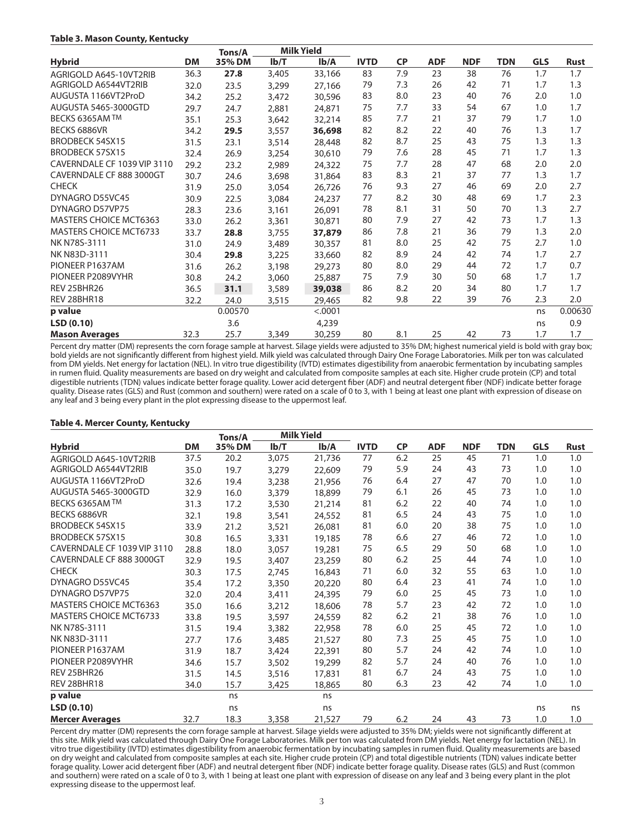#### **Table 3. Mason County, Kentucky**

|                               |           | Tons/A  |       | <b>Milk Yield</b> |             |           |            |            |     |            |             |
|-------------------------------|-----------|---------|-------|-------------------|-------------|-----------|------------|------------|-----|------------|-------------|
| <b>Hybrid</b>                 | <b>DM</b> | 35% DM  | Ib/T  | Ib/A              | <b>IVTD</b> | <b>CP</b> | <b>ADF</b> | <b>NDF</b> | TDN | <b>GLS</b> | <b>Rust</b> |
| AGRIGOLD A645-10VT2RIB        | 36.3      | 27.8    | 3,405 | 33,166            | 83          | 7.9       | 23         | 38         | 76  | 1.7        | 1.7         |
| AGRIGOLD A6544VT2RIB          | 32.0      | 23.5    | 3,299 | 27,166            | 79          | 7.3       | 26         | 42         | 71  | 1.7        | 1.3         |
| AUGUSTA 1166VT2ProD           | 34.2      | 25.2    | 3,472 | 30,596            | 83          | 8.0       | 23         | 40         | 76  | 2.0        | 1.0         |
| AUGUSTA 5465-3000GTD          | 29.7      | 24.7    | 2,881 | 24,871            | 75          | 7.7       | 33         | 54         | 67  | 1.0        | 1.7         |
| BECKS 6365AM TM               | 35.1      | 25.3    | 3,642 | 32,214            | 85          | 7.7       | 21         | 37         | 79  | 1.7        | 1.0         |
| BECKS 6886VR                  | 34.2      | 29.5    | 3,557 | 36,698            | 82          | 8.2       | 22         | 40         | 76  | 1.3        | 1.7         |
| <b>BRODBECK 54SX15</b>        | 31.5      | 23.1    | 3,514 | 28,448            | 82          | 8.7       | 25         | 43         | 75  | 1.3        | 1.3         |
| BRODBECK 57SX15               | 32.4      | 26.9    | 3,254 | 30,610            | 79          | 7.6       | 28         | 45         | 71  | 1.7        | 1.3         |
| CAVERNDALE CF 1039 VIP 3110   | 29.2      | 23.2    | 2,989 | 24,322            | 75          | 7.7       | 28         | 47         | 68  | 2.0        | 2.0         |
| CAVERNDALE CF 888 3000GT      | 30.7      | 24.6    | 3,698 | 31,864            | 83          | 8.3       | 21         | 37         | 77  | 1.3        | 1.7         |
| <b>CHECK</b>                  | 31.9      | 25.0    | 3,054 | 26,726            | 76          | 9.3       | 27         | 46         | 69  | 2.0        | 2.7         |
| DYNAGRO D55VC45               | 30.9      | 22.5    | 3,084 | 24,237            | 77          | 8.2       | 30         | 48         | 69  | 1.7        | 2.3         |
| DYNAGRO D57VP75               | 28.3      | 23.6    | 3,161 | 26,091            | 78          | 8.1       | 31         | 50         | 70  | 1.3        | 2.7         |
| <b>MASTERS CHOICE MCT6363</b> | 33.0      | 26.2    | 3,361 | 30,871            | 80          | 7.9       | 27         | 42         | 73  | 1.7        | 1.3         |
| <b>MASTERS CHOICE MCT6733</b> | 33.7      | 28.8    | 3,755 | 37,879            | 86          | 7.8       | 21         | 36         | 79  | 1.3        | 2.0         |
| NK N78S-3111                  | 31.0      | 24.9    | 3,489 | 30,357            | 81          | 8.0       | 25         | 42         | 75  | 2.7        | 1.0         |
| NK N83D-3111                  | 30.4      | 29.8    | 3,225 | 33,660            | 82          | 8.9       | 24         | 42         | 74  | 1.7        | 2.7         |
| PIONEER P1637AM               | 31.6      | 26.2    | 3,198 | 29,273            | 80          | 8.0       | 29         | 44         | 72  | 1.7        | 0.7         |
| PIONEER P2089VYHR             | 30.8      | 24.2    | 3,060 | 25,887            | 75          | 7.9       | 30         | 50         | 68  | 1.7        | 1.7         |
| REV 25BHR26                   | 36.5      | 31.1    | 3,589 | 39,038            | 86          | 8.2       | 20         | 34         | 80  | 1.7        | 1.7         |
| REV 28BHR18                   | 32.2      | 24.0    | 3,515 | 29,465            | 82          | 9.8       | 22         | 39         | 76  | 2.3        | 2.0         |
| p value                       |           | 0.00570 |       | < .0001           |             |           |            |            |     | ns         | 0.00630     |
| LSD(0.10)                     |           | 3.6     |       | 4,239             |             |           |            |            |     | ns         | 0.9         |
| <b>Mason Averages</b>         | 32.3      | 25.7    | 3,349 | 30,259            | 80          | 8.1       | 25         | 42         | 73  | 1.7        | 1.7         |

Percent dry matter (DM) represents the corn forage sample at harvest. Silage yields were adjusted to 35% DM; highest numerical yield is bold with gray box; bold yields are not significantly different from highest yield. Milk yield was calculated through Dairy One Forage Laboratories. Milk per ton was calculated from DM yields. Net energy for lactation (NEL). In vitro true digestibility (IVTD) estimates digestibility from anaerobic fermentation by incubating samples in rumen fluid. Quality measurements are based on dry weight and calculated from composite samples at each site. Higher crude protein (CP) and total digestible nutrients (TDN) values indicate better forage quality. Lower acid detergent fiber (ADF) and neutral detergent fiber (NDF) indicate better forage quality. Disease rates (GLS) and Rust (common and southern) were rated on a scale of 0 to 3, with 1 being at least one plant with expression of disease on any leaf and 3 being every plant in the plot expressing disease to the uppermost leaf.

#### **Table 4. Mercer County, Kentucky**

|                               |           | Tons/A |       | <b>Milk Yield</b> |             |           |            |            |     |            |             |
|-------------------------------|-----------|--------|-------|-------------------|-------------|-----------|------------|------------|-----|------------|-------------|
| <b>Hybrid</b>                 | <b>DM</b> | 35% DM | Ib/T  | Ib/A              | <b>IVTD</b> | <b>CP</b> | <b>ADF</b> | <b>NDF</b> | TDN | <b>GLS</b> | <b>Rust</b> |
| AGRIGOLD A645-10VT2RIB        | 37.5      | 20.2   | 3,075 | 21,736            | 77          | 6.2       | 25         | 45         | 71  | 1.0        | 1.0         |
| AGRIGOLD A6544VT2RIB          | 35.0      | 19.7   | 3,279 | 22,609            | 79          | 5.9       | 24         | 43         | 73  | 1.0        | 1.0         |
| AUGUSTA 1166VT2ProD           | 32.6      | 19.4   | 3,238 | 21,956            | 76          | 6.4       | 27         | 47         | 70  | 1.0        | 1.0         |
| AUGUSTA 5465-3000GTD          | 32.9      | 16.0   | 3,379 | 18,899            | 79          | 6.1       | 26         | 45         | 73  | 1.0        | 1.0         |
| BECKS 6365AM TM               | 31.3      | 17.2   | 3,530 | 21,214            | 81          | 6.2       | 22         | 40         | 74  | 1.0        | 1.0         |
| BECKS 6886VR                  | 32.1      | 19.8   | 3,541 | 24,552            | 81          | 6.5       | 24         | 43         | 75  | 1.0        | 1.0         |
| <b>BRODBECK 54SX15</b>        | 33.9      | 21.2   | 3,521 | 26,081            | 81          | 6.0       | 20         | 38         | 75  | 1.0        | 1.0         |
| <b>BRODBECK 57SX15</b>        | 30.8      | 16.5   | 3,331 | 19,185            | 78          | 6.6       | 27         | 46         | 72  | 1.0        | 1.0         |
| CAVERNDALE CF 1039 VIP 3110   | 28.8      | 18.0   | 3,057 | 19,281            | 75          | 6.5       | 29         | 50         | 68  | 1.0        | 1.0         |
| CAVERNDALE CF 888 3000GT      | 32.9      | 19.5   | 3,407 | 23,259            | 80          | 6.2       | 25         | 44         | 74  | 1.0        | 1.0         |
| <b>CHECK</b>                  | 30.3      | 17.5   | 2,745 | 16,843            | 71          | 6.0       | 32         | 55         | 63  | 1.0        | 1.0         |
| DYNAGRO D55VC45               | 35.4      | 17.2   | 3,350 | 20,220            | 80          | 6.4       | 23         | 41         | 74  | 1.0        | 1.0         |
| DYNAGRO D57VP75               | 32.0      | 20.4   | 3,411 | 24,395            | 79          | 6.0       | 25         | 45         | 73  | 1.0        | 1.0         |
| <b>MASTERS CHOICE MCT6363</b> | 35.0      | 16.6   | 3,212 | 18,606            | 78          | 5.7       | 23         | 42         | 72  | 1.0        | 1.0         |
| <b>MASTERS CHOICE MCT6733</b> | 33.8      | 19.5   | 3,597 | 24,559            | 82          | 6.2       | 21         | 38         | 76  | 1.0        | 1.0         |
| NK N78S-3111                  | 31.5      | 19.4   | 3,382 | 22,958            | 78          | 6.0       | 25         | 45         | 72  | 1.0        | 1.0         |
| NK N83D-3111                  | 27.7      | 17.6   | 3,485 | 21,527            | 80          | 7.3       | 25         | 45         | 75  | 1.0        | 1.0         |
| PIONEER P1637AM               | 31.9      | 18.7   | 3,424 | 22,391            | 80          | 5.7       | 24         | 42         | 74  | 1.0        | 1.0         |
| PIONEER P2089VYHR             | 34.6      | 15.7   | 3,502 | 19,299            | 82          | 5.7       | 24         | 40         | 76  | 1.0        | 1.0         |
| REV 25BHR26                   | 31.5      | 14.5   | 3,516 | 17,831            | 81          | 6.7       | 24         | 43         | 75  | 1.0        | 1.0         |
| REV 28BHR18                   | 34.0      | 15.7   | 3,425 | 18,865            | 80          | 6.3       | 23         | 42         | 74  | 1.0        | 1.0         |
| p value                       |           | ns     |       | ns                |             |           |            |            |     |            |             |
| LSD (0.10)                    |           | ns     |       | ns                |             |           |            |            |     | ns         | ns          |
| <b>Mercer Averages</b>        | 32.7      | 18.3   | 3,358 | 21,527            | 79          | 6.2       | 24         | 43         | 73  | 1.0        | 1.0         |

Percent dry matter (DM) represents the corn forage sample at harvest. Silage yields were adjusted to 35% DM; yields were not significantly different at this site. Milk yield was calculated through Dairy One Forage Laboratories. Milk per ton was calculated from DM yields. Net energy for lactation (NEL). In vitro true digestibility (IVTD) estimates digestibility from anaerobic fermentation by incubating samples in rumen fluid. Quality measurements are based on dry weight and calculated from composite samples at each site. Higher crude protein (CP) and total digestible nutrients (TDN) values indicate better forage quality. Lower acid detergent fiber (ADF) and neutral detergent fiber (NDF) indicate better forage quality. Disease rates (GLS) and Rust (common and southern) were rated on a scale of 0 to 3, with 1 being at least one plant with expression of disease on any leaf and 3 being every plant in the plot expressing disease to the uppermost leaf.